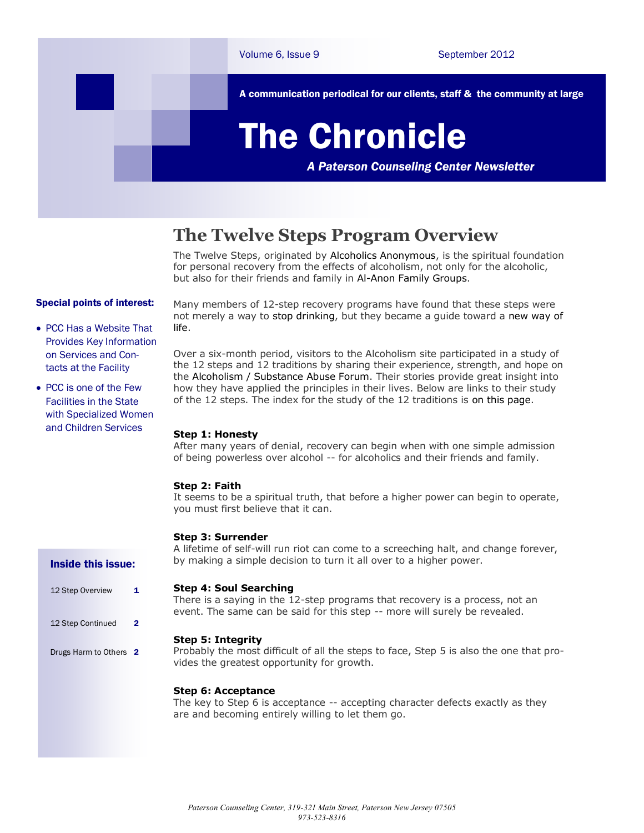

# **The Twelve Steps Program Overview**

The Twelve Steps, originated by Alcoholics Anonymous, is the spiritual foundation for personal recovery from the effects of alcoholism, not only for the alcoholic, but also for their friends and family in Al-Anon Family Groups.

## Special points of interest:

- PCC Has a Website That Provides Key Information on Services and Contacts at the Facility
- PCC is one of the Few Facilities in the State with Specialized Women and Children Services

Many members of 12-step recovery programs have found that these steps were not merely a way to stop drinking, but they became a guide toward a new way of life.

Over a six-month period, visitors to the Alcoholism site participated in a study of the 12 steps and 12 traditions by sharing their experience, strength, and hope on the Alcoholism / Substance Abuse Forum. Their stories provide great insight into how they have applied the principles in their lives. Below are links to their study of the 12 steps. The index for the study of the 12 traditions is on this page.

### **Step 1: Honesty**

After many years of denial, recovery can begin when with one simple admission of being powerless over alcohol -- for alcoholics and their friends and family.

### **Step 2: Faith**

It seems to be a spiritual truth, that before a higher power can begin to operate, you must first believe that it can.

## **Step 3: Surrender**

A lifetime of self-will run riot can come to a screeching halt, and change forever, by making a simple decision to turn it all over to a higher power.

### **Step 4: Soul Searching**

There is a saying in the 12-step programs that recovery is a process, not an event. The same can be said for this step -- more will surely be revealed.

### **Step 5: Integrity**

Probably the most difficult of all the steps to face, Step 5 is also the one that provides the greatest opportunity for growth.

# **Step 6: Acceptance**

The key to Step 6 is acceptance -- accepting character defects exactly as they are and becoming entirely willing to let them go.

### Inside this issue:

12 Step Overview 1 12 Step Continued 2 Drugs Harm to Others 2